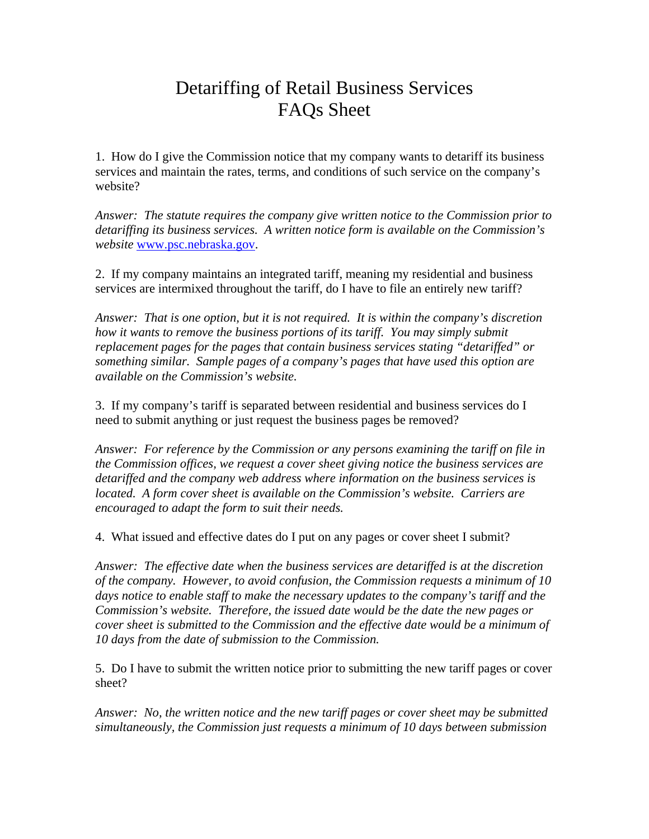## Detariffing of Retail Business Services FAQs Sheet

1. How do I give the Commission notice that my company wants to detariff its business services and maintain the rates, terms, and conditions of such service on the company's website?

*Answer: The statute requires the company give written notice to the Commission prior to detariffing its business services. A written notice form is available on the Commission's website* www.psc.nebraska.gov.

2. If my company maintains an integrated tariff, meaning my residential and business services are intermixed throughout the tariff, do I have to file an entirely new tariff?

*Answer: That is one option, but it is not required. It is within the company's discretion how it wants to remove the business portions of its tariff. You may simply submit replacement pages for the pages that contain business services stating "detariffed" or something similar. Sample pages of a company's pages that have used this option are available on the Commission's website.* 

3. If my company's tariff is separated between residential and business services do I need to submit anything or just request the business pages be removed?

*Answer: For reference by the Commission or any persons examining the tariff on file in the Commission offices, we request a cover sheet giving notice the business services are detariffed and the company web address where information on the business services is located. A form cover sheet is available on the Commission's website. Carriers are encouraged to adapt the form to suit their needs.* 

4. What issued and effective dates do I put on any pages or cover sheet I submit?

*Answer: The effective date when the business services are detariffed is at the discretion of the company. However, to avoid confusion, the Commission requests a minimum of 10 days notice to enable staff to make the necessary updates to the company's tariff and the Commission's website. Therefore, the issued date would be the date the new pages or cover sheet is submitted to the Commission and the effective date would be a minimum of 10 days from the date of submission to the Commission.* 

5. Do I have to submit the written notice prior to submitting the new tariff pages or cover sheet?

*Answer: No, the written notice and the new tariff pages or cover sheet may be submitted simultaneously, the Commission just requests a minimum of 10 days between submission*